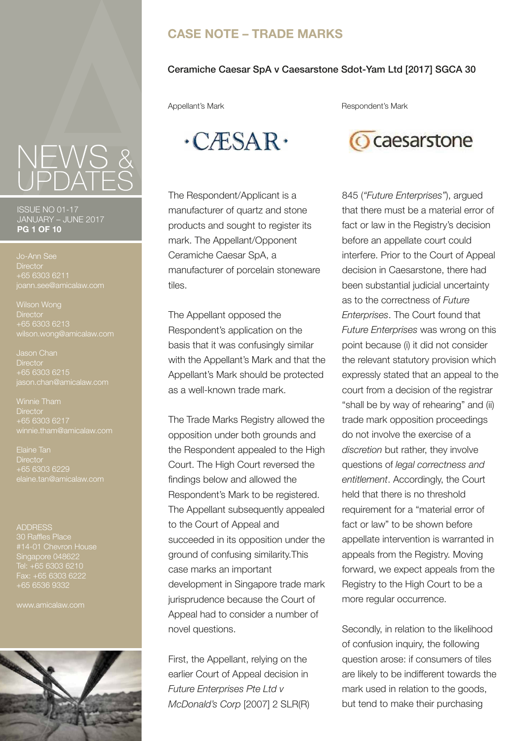# **CASE NOTE – TRADE MARKS**

#### Ceramiche Caesar SpA v Caesarstone Sdot-Yam Ltd [2017] SGCA 30

Appellant's Mark **Respondent's Mark** 



ISSUE NO 01-17 JANUARY – JUNE 2017 **PG 1 OF 10**

**Director** +65 6303 6211

Wilson Wong **Director** +65 6303 6213 wilson.wong@amicalaw.com

Jason Chan **Director** +65 6303 6215 iason.chan@amicalaw.com

**Director** +65 6303 6217

Elaine Tan **Director** +65 6303 6229 laine.tan@amicalaw.com

**ADDRESS** 30 Raffles Place #14-01 Chevron House Singapore 048622 Tel: +65 6303 6210 Fax: +65 6303 6222 +65 6536 9332

www.amicalaw.com





The Respondent/Applicant is a manufacturer of quartz and stone products and sought to register its mark. The Appellant/Opponent Ceramiche Caesar SpA, a manufacturer of porcelain stoneware tiles.

The Appellant opposed the Respondent's application on the basis that it was confusingly similar with the Appellant's Mark and that the Appellant's Mark should be protected as a well-known trade mark.

The Trade Marks Registry allowed the opposition under both grounds and the Respondent appealed to the High Court. The High Court reversed the findings below and allowed the Respondent's Mark to be registered. The Appellant subsequently appealed to the Court of Appeal and succeeded in its opposition under the ground of confusing similarity.This case marks an important development in Singapore trade mark jurisprudence because the Court of Appeal had to consider a number of novel questions.

First, the Appellant, relying on the earlier Court of Appeal decision in *Future Enterprises Pte Ltd v McDonald's Corp* [2007] 2 SLR(R)



845 (*"Future Enterprises"*), argued that there must be a material error of fact or law in the Registry's decision before an appellate court could interfere. Prior to the Court of Appeal decision in Caesarstone, there had been substantial judicial uncertainty as to the correctness of *Future Enterprises*. The Court found that *Future Enterprises* was wrong on this point because (i) it did not consider the relevant statutory provision which expressly stated that an appeal to the court from a decision of the registrar "shall be by way of rehearing" and (ii) trade mark opposition proceedings do not involve the exercise of a *discretion* but rather, they involve questions of *legal correctness and entitlement*. Accordingly, the Court held that there is no threshold requirement for a "material error of fact or law" to be shown before appellate intervention is warranted in appeals from the Registry. Moving forward, we expect appeals from the Registry to the High Court to be a more regular occurrence.

Secondly, in relation to the likelihood of confusion inquiry, the following question arose: if consumers of tiles are likely to be indifferent towards the mark used in relation to the goods, but tend to make their purchasing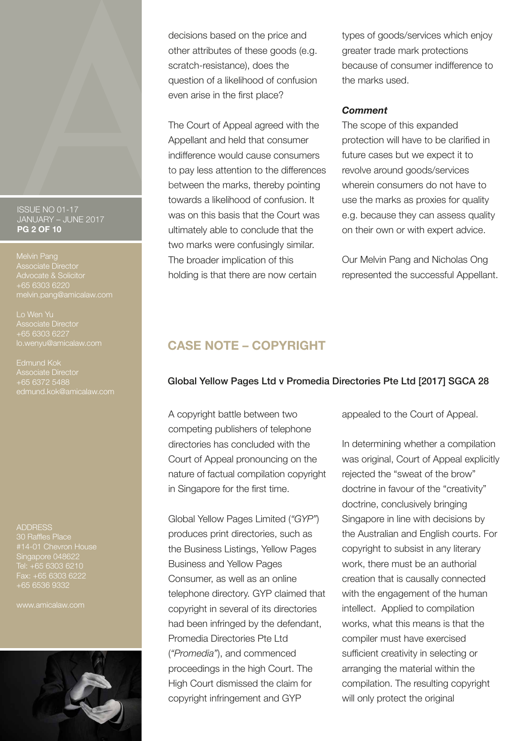#### ISSUE NO 01-17 JANUARY – JUNE 2017 **PG 2 OF 10**

Melvin Pang Associate Director Advocate & Solicitor melvin.pang@amicalaw.com

Lo Wen Yu Associate Director +65 6303 6227

Edmund Kok Associate Director +65 6372 5488 edmund.kok@amicalaw.com

ADDRESS 30 Raffles Place #14-01 Chevron House Singapore 048622 Tel: +65 6303 6210 Fax: +65 6303 6222 +65 6536 9332

www.amicalaw.com



decisions based on the price and other attributes of these goods (e.g. scratch-resistance), does the question of a likelihood of confusion even arise in the first place?

The Court of Appeal agreed with the Appellant and held that consumer indifference would cause consumers to pay less attention to the differences between the marks, thereby pointing towards a likelihood of confusion. It was on this basis that the Court was ultimately able to conclude that the two marks were confusingly similar. The broader implication of this holding is that there are now certain

types of goods/services which enjoy greater trade mark protections because of consumer indifference to the marks used.

#### *Comment*

The scope of this expanded protection will have to be clarified in future cases but we expect it to revolve around goods/services wherein consumers do not have to use the marks as proxies for quality e.g. because they can assess quality on their own or with expert advice.

Our Melvin Pang and Nicholas Ong represented the successful Appellant.

# **CASE NOTE – COPYRIGHT**

## Global Yellow Pages Ltd v Promedia Directories Pte Ltd [2017] SGCA 28

A copyright battle between two competing publishers of telephone directories has concluded with the Court of Appeal pronouncing on the nature of factual compilation copyright in Singapore for the first time.

Global Yellow Pages Limited (*"GYP"*) produces print directories, such as the Business Listings, Yellow Pages Business and Yellow Pages Consumer, as well as an online telephone directory. GYP claimed that copyright in several of its directories had been infringed by the defendant, Promedia Directories Pte Ltd (*"Promedia"*), and commenced proceedings in the high Court. The High Court dismissed the claim for copyright infringement and GYP

appealed to the Court of Appeal.

In determining whether a compilation was original, Court of Appeal explicitly rejected the "sweat of the brow" doctrine in favour of the "creativity" doctrine, conclusively bringing Singapore in line with decisions by the Australian and English courts. For copyright to subsist in any literary work, there must be an authorial creation that is causally connected with the engagement of the human intellect. Applied to compilation works, what this means is that the compiler must have exercised sufficient creativity in selecting or arranging the material within the compilation. The resulting copyright will only protect the original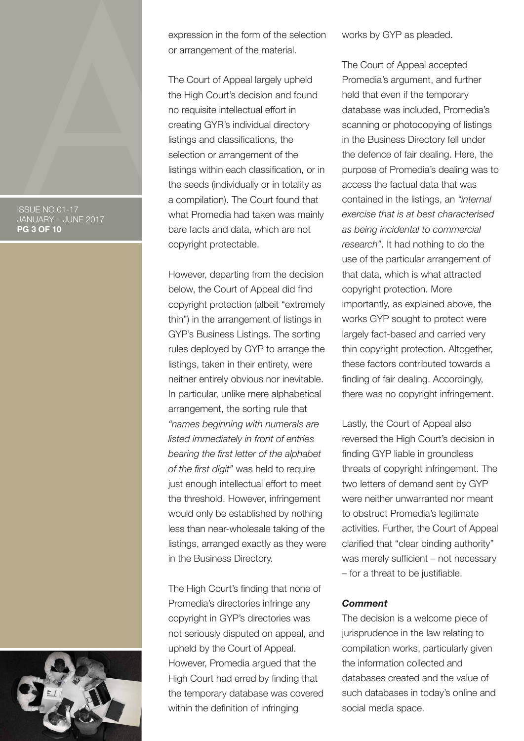#### ISSUE NO 01-17 JANUARY – JUNE 2017 **PG 3 OF 10**



expression in the form of the selection or arrangement of the material.

The Court of Appeal largely upheld the High Court's decision and found no requisite intellectual effort in creating GYR's individual directory listings and classifications, the selection or arrangement of the listings within each classification, or in the seeds (individually or in totality as a compilation). The Court found that what Promedia had taken was mainly bare facts and data, which are not copyright protectable.

However, departing from the decision below, the Court of Appeal did find copyright protection (albeit "extremely thin") in the arrangement of listings in GYP's Business Listings. The sorting rules deployed by GYP to arrange the listings, taken in their entirety, were neither entirely obvious nor inevitable. In particular, unlike mere alphabetical arrangement, the sorting rule that *"names beginning with numerals are listed immediately in front of entries bearing the first letter of the alphabet of the first digit"* was held to require just enough intellectual effort to meet the threshold. However, infringement would only be established by nothing less than near-wholesale taking of the listings, arranged exactly as they were in the Business Directory.

The High Court's finding that none of Promedia's directories infringe any copyright in GYP's directories was not seriously disputed on appeal, and upheld by the Court of Appeal. However, Promedia argued that the High Court had erred by finding that the temporary database was covered within the definition of infringing

works by GYP as pleaded.

The Court of Appeal accepted Promedia's argument, and further held that even if the temporary database was included, Promedia's scanning or photocopying of listings in the Business Directory fell under the defence of fair dealing. Here, the purpose of Promedia's dealing was to access the factual data that was contained in the listings, an *"internal exercise that is at best characterised as being incidental to commercial research"*. It had nothing to do the use of the particular arrangement of that data, which is what attracted copyright protection. More importantly, as explained above, the works GYP sought to protect were largely fact-based and carried very thin copyright protection. Altogether, these factors contributed towards a finding of fair dealing. Accordingly, there was no copyright infringement.

Lastly, the Court of Appeal also reversed the High Court's decision in finding GYP liable in groundless threats of copyright infringement. The two letters of demand sent by GYP were neither unwarranted nor meant to obstruct Promedia's legitimate activities. Further, the Court of Appeal clarified that "clear binding authority" was merely sufficient – not necessary – for a threat to be justifiable.

#### *Comment*

The decision is a welcome piece of jurisprudence in the law relating to compilation works, particularly given the information collected and databases created and the value of such databases in today's online and social media space.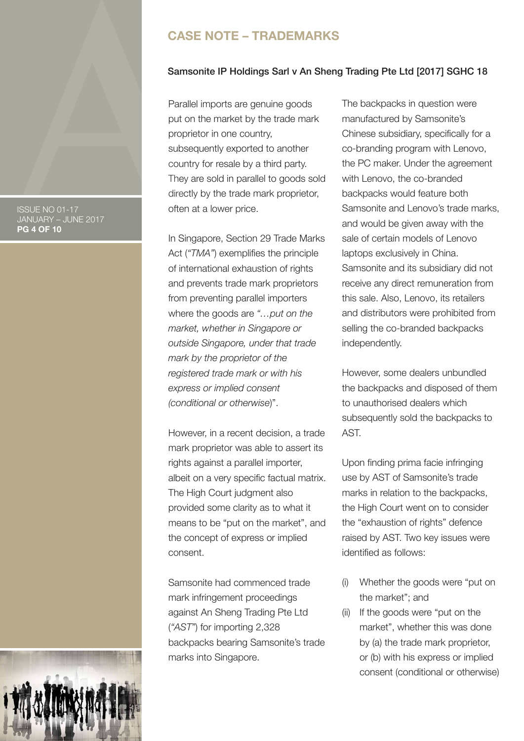# **CASE NOTE – TRADEMARKS**

#### Samsonite IP Holdings Sarl v An Sheng Trading Pte Ltd [2017] SGHC 18

Parallel imports are genuine goods put on the market by the trade mark proprietor in one country, subsequently exported to another country for resale by a third party. They are sold in parallel to goods sold directly by the trade mark proprietor, often at a lower price.

In Singapore, Section 29 Trade Marks Act (*"TMA"*) exemplifies the principle of international exhaustion of rights and prevents trade mark proprietors from preventing parallel importers where the goods are *"…put on the market, whether in Singapore or outside Singapore, under that trade mark by the proprietor of the registered trade mark or with his express or implied consent (conditional or otherwise*)".

However, in a recent decision, a trade mark proprietor was able to assert its rights against a parallel importer, albeit on a very specific factual matrix. The High Court judgment also provided some clarity as to what it means to be "put on the market", and the concept of express or implied consent.

Samsonite had commenced trade mark infringement proceedings against An Sheng Trading Pte Ltd (*"AST"*) for importing 2,328 backpacks bearing Samsonite's trade marks into Singapore.

The backpacks in question were manufactured by Samsonite's Chinese subsidiary, specifically for a co-branding program with Lenovo, the PC maker. Under the agreement with Lenovo, the co-branded backpacks would feature both Samsonite and Lenovo's trade marks, and would be given away with the sale of certain models of Lenovo laptops exclusively in China. Samsonite and its subsidiary did not receive any direct remuneration from this sale. Also, Lenovo, its retailers and distributors were prohibited from selling the co-branded backpacks independently.

However, some dealers unbundled the backpacks and disposed of them to unauthorised dealers which subsequently sold the backpacks to AST.

Upon finding prima facie infringing use by AST of Samsonite's trade marks in relation to the backpacks, the High Court went on to consider the "exhaustion of rights" defence raised by AST. Two key issues were identified as follows:

- (i) Whether the goods were "put on the market"; and
- (ii) If the goods were "put on the market", whether this was done by (a) the trade mark proprietor, or (b) with his express or implied consent (conditional or otherwise)

ISSUE NO 01-17 JANUARY – JUNE 2017 **PG 4 OF 10**

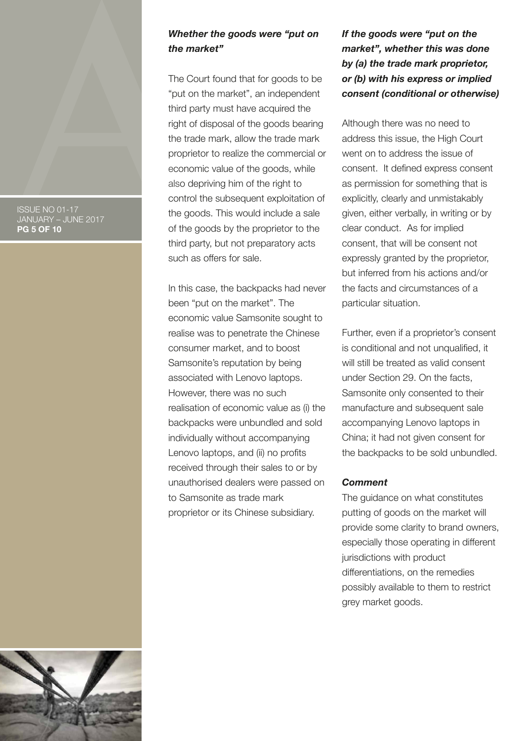#### ISSUE NO 01-17 JANUARY – JUNE 2017 **PG 5 OF 10**

## *Whether the goods were "put on the market"*

The Court found that for goods to be "put on the market", an independent third party must have acquired the right of disposal of the goods bearing the trade mark, allow the trade mark proprietor to realize the commercial or economic value of the goods, while also depriving him of the right to control the subsequent exploitation of the goods. This would include a sale of the goods by the proprietor to the third party, but not preparatory acts such as offers for sale.

In this case, the backpacks had never been "put on the market". The economic value Samsonite sought to realise was to penetrate the Chinese consumer market, and to boost Samsonite's reputation by being associated with Lenovo laptops. However, there was no such realisation of economic value as (i) the backpacks were unbundled and sold individually without accompanying Lenovo laptops, and (ii) no profits received through their sales to or by unauthorised dealers were passed on to Samsonite as trade mark proprietor or its Chinese subsidiary.

# *If the goods were "put on the market", whether this was done by (a) the trade mark proprietor, or (b) with his express or implied consent (conditional or otherwise)*

Although there was no need to address this issue, the High Court went on to address the issue of consent. It defined express consent as permission for something that is explicitly, clearly and unmistakably given, either verbally, in writing or by clear conduct. As for implied consent, that will be consent not expressly granted by the proprietor, but inferred from his actions and/or the facts and circumstances of a particular situation.

Further, even if a proprietor's consent is conditional and not unqualified, it will still be treated as valid consent under Section 29. On the facts, Samsonite only consented to their manufacture and subsequent sale accompanying Lenovo laptops in China; it had not given consent for the backpacks to be sold unbundled.

#### *Comment*

The guidance on what constitutes putting of goods on the market will provide some clarity to brand owners, especially those operating in different jurisdictions with product differentiations, on the remedies possibly available to them to restrict grey market goods.

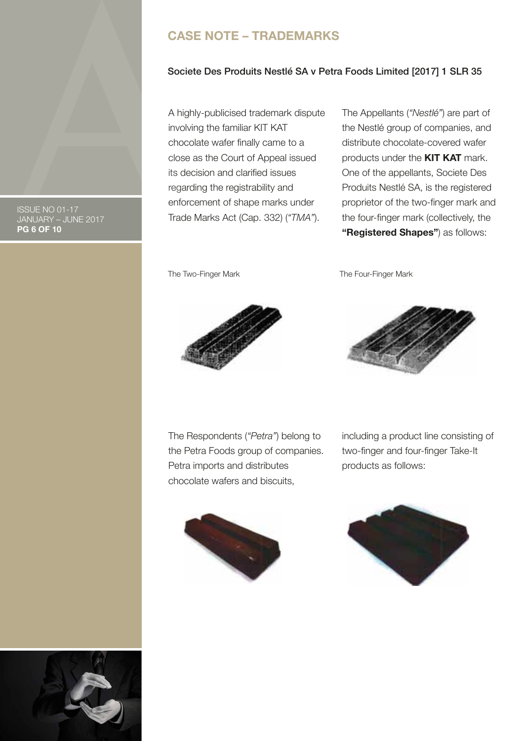# **CASE NOTE – TRADEMARKS**

### Societe Des Produits Nestlé SA v Petra Foods Limited [2017] 1 SLR 35

A highly-publicised trademark dispute involving the familiar KIT KAT chocolate wafer finally came to a close as the Court of Appeal issued its decision and clarified issues regarding the registrability and enforcement of shape marks under Trade Marks Act (Cap. 332) (*"TMA"*).

The Appellants (*"Nestlé"*) are part of the Nestlé group of companies, and distribute chocolate-covered wafer products under the **KIT KAT** mark. One of the appellants, Societe Des Produits Nestlé SA, is the registered proprietor of the two-finger mark and the four-finger mark (collectively, the **"Registered Shapes"**) as follows:

The Two-Finger Mark The Four-Finger Mark





The Respondents (*"Petra"*) belong to the Petra Foods group of companies. Petra imports and distributes chocolate wafers and biscuits,







ISSUE NO 01-17 JANUARY – JUNE 2017 **PG 6 OF 10**

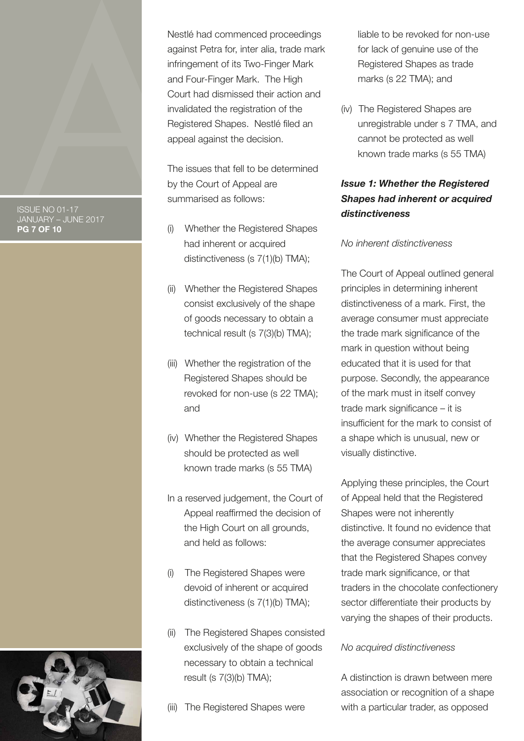ISSUE NO 01-17 JANUARY – JUNE 2017 **PG 7 OF 10**



The issues that fell to be determined by the Court of Appeal are summarised as follows:

- (i) Whether the Registered Shapes had inherent or acquired distinctiveness (s 7(1)(b) TMA);
- (ii) Whether the Registered Shapes consist exclusively of the shape of goods necessary to obtain a technical result (s 7(3)(b) TMA);
- (iii) Whether the registration of the Registered Shapes should be revoked for non-use (s 22 TMA); and
- (iv) Whether the Registered Shapes should be protected as well known trade marks (s 55 TMA)
- In a reserved judgement, the Court of Appeal reaffirmed the decision of the High Court on all grounds, and held as follows:
- (i) The Registered Shapes were devoid of inherent or acquired distinctiveness (s 7(1)(b) TMA);
- (ii) The Registered Shapes consisted exclusively of the shape of goods necessary to obtain a technical result (s 7(3)(b) TMA);
- (iii) The Registered Shapes were

liable to be revoked for non-use for lack of genuine use of the Registered Shapes as trade marks (s 22 TMA); and

(iv) The Registered Shapes are unregistrable under s 7 TMA, and cannot be protected as well known trade marks (s 55 TMA)

# *Issue 1: Whether the Registered Shapes had inherent or acquired distinctiveness*

## *No inherent distinctiveness*

The Court of Appeal outlined general principles in determining inherent distinctiveness of a mark. First, the average consumer must appreciate the trade mark significance of the mark in question without being educated that it is used for that purpose. Secondly, the appearance of the mark must in itself convey trade mark significance – it is insufficient for the mark to consist of a shape which is unusual, new or visually distinctive.

Applying these principles, the Court of Appeal held that the Registered Shapes were not inherently distinctive. It found no evidence that the average consumer appreciates that the Registered Shapes convey trade mark significance, or that traders in the chocolate confectionery sector differentiate their products by varying the shapes of their products.

## *No acquired distinctiveness*

A distinction is drawn between mere association or recognition of a shape with a particular trader, as opposed

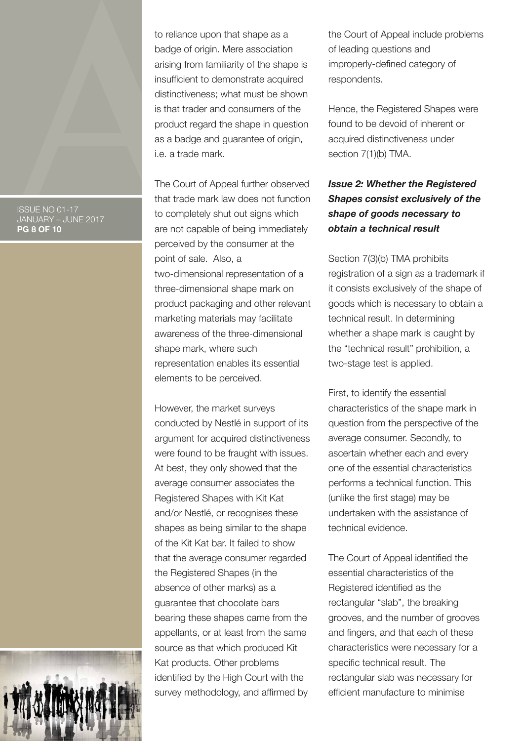ISSUE NO 01-17 JANUARY – JUNE 2017 **PG 8 OF 10**

to reliance upon that shape as a badge of origin. Mere association arising from familiarity of the shape is insufficient to demonstrate acquired distinctiveness; what must be shown is that trader and consumers of the product regard the shape in question as a badge and guarantee of origin, i.e. a trade mark.

The Court of Appeal further observed that trade mark law does not function to completely shut out signs which are not capable of being immediately perceived by the consumer at the point of sale. Also, a two-dimensional representation of a three-dimensional shape mark on product packaging and other relevant marketing materials may facilitate awareness of the three-dimensional shape mark, where such representation enables its essential elements to be perceived.

However, the market surveys conducted by Nestlé in support of its argument for acquired distinctiveness were found to be fraught with issues. At best, they only showed that the average consumer associates the Registered Shapes with Kit Kat and/or Nestlé, or recognises these shapes as being similar to the shape of the Kit Kat bar. It failed to show that the average consumer regarded the Registered Shapes (in the absence of other marks) as a guarantee that chocolate bars bearing these shapes came from the appellants, or at least from the same source as that which produced Kit Kat products. Other problems identified by the High Court with the survey methodology, and affirmed by

the Court of Appeal include problems of leading questions and improperly-defined category of respondents.

Hence, the Registered Shapes were found to be devoid of inherent or acquired distinctiveness under section 7(1)(b) TMA.

# *Issue 2: Whether the Registered Shapes consist exclusively of the shape of goods necessary to obtain a technical result*

Section 7(3)(b) TMA prohibits registration of a sign as a trademark if it consists exclusively of the shape of goods which is necessary to obtain a technical result. In determining whether a shape mark is caught by the "technical result" prohibition, a two-stage test is applied.

First, to identify the essential characteristics of the shape mark in question from the perspective of the average consumer. Secondly, to ascertain whether each and every one of the essential characteristics performs a technical function. This (unlike the first stage) may be undertaken with the assistance of technical evidence.

The Court of Appeal identified the essential characteristics of the Registered identified as the rectangular "slab", the breaking grooves, and the number of grooves and fingers, and that each of these characteristics were necessary for a specific technical result. The rectangular slab was necessary for efficient manufacture to minimise

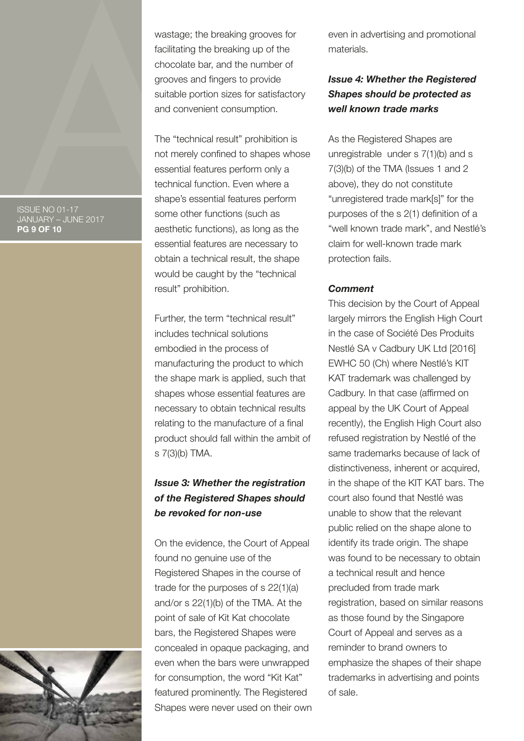wastage; the breaking grooves for facilitating the breaking up of the chocolate bar, and the number of grooves and fingers to provide suitable portion sizes for satisfactory and convenient consumption.

The "technical result" prohibition is not merely confined to shapes whose essential features perform only a technical function. Even where a shape's essential features perform some other functions (such as aesthetic functions), as long as the essential features are necessary to obtain a technical result, the shape would be caught by the "technical result" prohibition.

Further, the term "technical result" includes technical solutions embodied in the process of manufacturing the product to which the shape mark is applied, such that shapes whose essential features are necessary to obtain technical results relating to the manufacture of a final product should fall within the ambit of s 7(3)(b) TMA.

# *Issue 3: Whether the registration of the Registered Shapes should be revoked for non-use*

On the evidence, the Court of Appeal found no genuine use of the Registered Shapes in the course of trade for the purposes of s 22(1)(a) and/or s 22(1)(b) of the TMA. At the point of sale of Kit Kat chocolate bars, the Registered Shapes were concealed in opaque packaging, and even when the bars were unwrapped for consumption, the word "Kit Kat" featured prominently. The Registered Shapes were never used on their own even in advertising and promotional materials.

## *Issue 4: Whether the Registered Shapes should be protected as well known trade marks*

As the Registered Shapes are unregistrable under s 7(1)(b) and s 7(3)(b) of the TMA (Issues 1 and 2 above), they do not constitute "unregistered trade mark[s]" for the purposes of the s 2(1) definition of a "well known trade mark", and Nestlé's claim for well-known trade mark protection fails.

### *Comment*

This decision by the Court of Appeal largely mirrors the English High Court in the case of Société Des Produits Nestlé SA v Cadbury UK Ltd [2016] EWHC 50 (Ch) where Nestlé's KIT KAT trademark was challenged by Cadbury. In that case (affirmed on appeal by the UK Court of Appeal recently), the English High Court also refused registration by Nestlé of the same trademarks because of lack of distinctiveness, inherent or acquired, in the shape of the KIT KAT bars. The court also found that Nestlé was unable to show that the relevant public relied on the shape alone to identify its trade origin. The shape was found to be necessary to obtain a technical result and hence precluded from trade mark registration, based on similar reasons as those found by the Singapore Court of Appeal and serves as a reminder to brand owners to emphasize the shapes of their shape trademarks in advertising and points of sale.